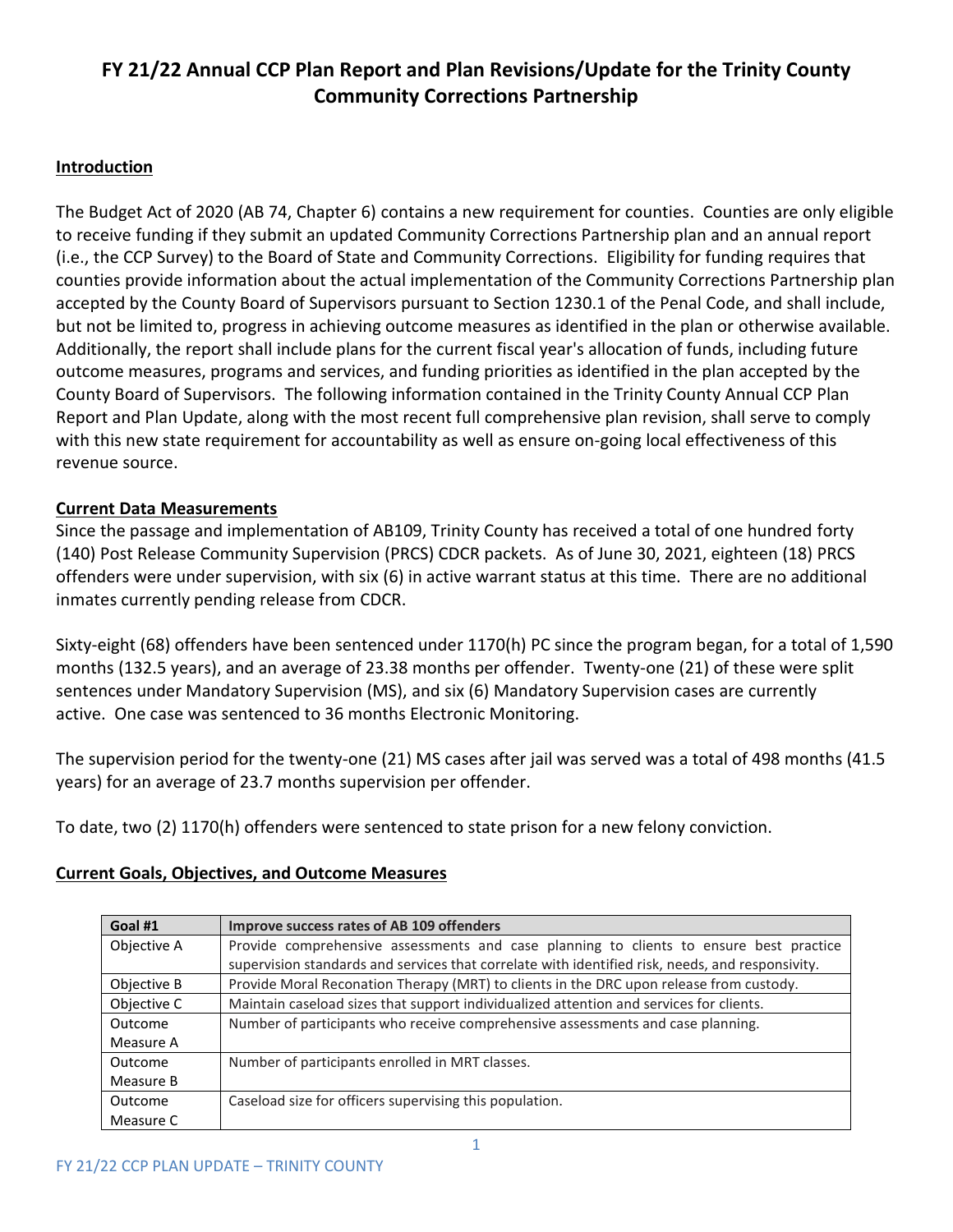# **FY 21/22 Annual CCP Plan Report and Plan Revisions/Update for the Trinity County Community Corrections Partnership**

## **Introduction**

The Budget Act of 2020 (AB 74, Chapter 6) contains a new requirement for counties. Counties are only eligible to receive funding if they submit an updated Community Corrections Partnership plan and an annual report (i.e., the CCP Survey) to the Board of State and Community Corrections. Eligibility for funding requires that counties provide information about the actual implementation of the Community Corrections Partnership plan accepted by the County Board of Supervisors pursuant to Section 1230.1 of the Penal Code, and shall include, but not be limited to, progress in achieving outcome measures as identified in the plan or otherwise available. Additionally, the report shall include plans for the current fiscal year's allocation of funds, including future outcome measures, programs and services, and funding priorities as identified in the plan accepted by the County Board of Supervisors. The following information contained in the Trinity County Annual CCP Plan Report and Plan Update, along with the most recent full comprehensive plan revision, shall serve to comply with this new state requirement for accountability as well as ensure on-going local effectiveness of this revenue source.

## **Current Data Measurements**

Since the passage and implementation of AB109, Trinity County has received a total of one hundred forty (140) Post Release Community Supervision (PRCS) CDCR packets. As of June 30, 2021, eighteen (18) PRCS offenders were under supervision, with six (6) in active warrant status at this time. There are no additional inmates currently pending release from CDCR.

Sixty-eight (68) offenders have been sentenced under 1170(h) PC since the program began, for a total of 1,590 months (132.5 years), and an average of 23.38 months per offender. Twenty-one (21) of these were split sentences under Mandatory Supervision (MS), and six (6) Mandatory Supervision cases are currently active. One case was sentenced to 36 months Electronic Monitoring.

The supervision period for the twenty-one (21) MS cases after jail was served was a total of 498 months (41.5 years) for an average of 23.7 months supervision per offender.

To date, two (2) 1170(h) offenders were sentenced to state prison for a new felony conviction.

## **Current Goals, Objectives, and Outcome Measures**

| Goal #1     | Improve success rates of AB 109 offenders                                                        |
|-------------|--------------------------------------------------------------------------------------------------|
| Objective A | Provide comprehensive assessments and case planning to clients to ensure best practice           |
|             | supervision standards and services that correlate with identified risk, needs, and responsivity. |
| Objective B | Provide Moral Reconation Therapy (MRT) to clients in the DRC upon release from custody.          |
| Objective C | Maintain caseload sizes that support individualized attention and services for clients.          |
| Outcome     | Number of participants who receive comprehensive assessments and case planning.                  |
| Measure A   |                                                                                                  |
| Outcome     | Number of participants enrolled in MRT classes.                                                  |
| Measure B   |                                                                                                  |
| Outcome     | Caseload size for officers supervising this population.                                          |
| Measure C   |                                                                                                  |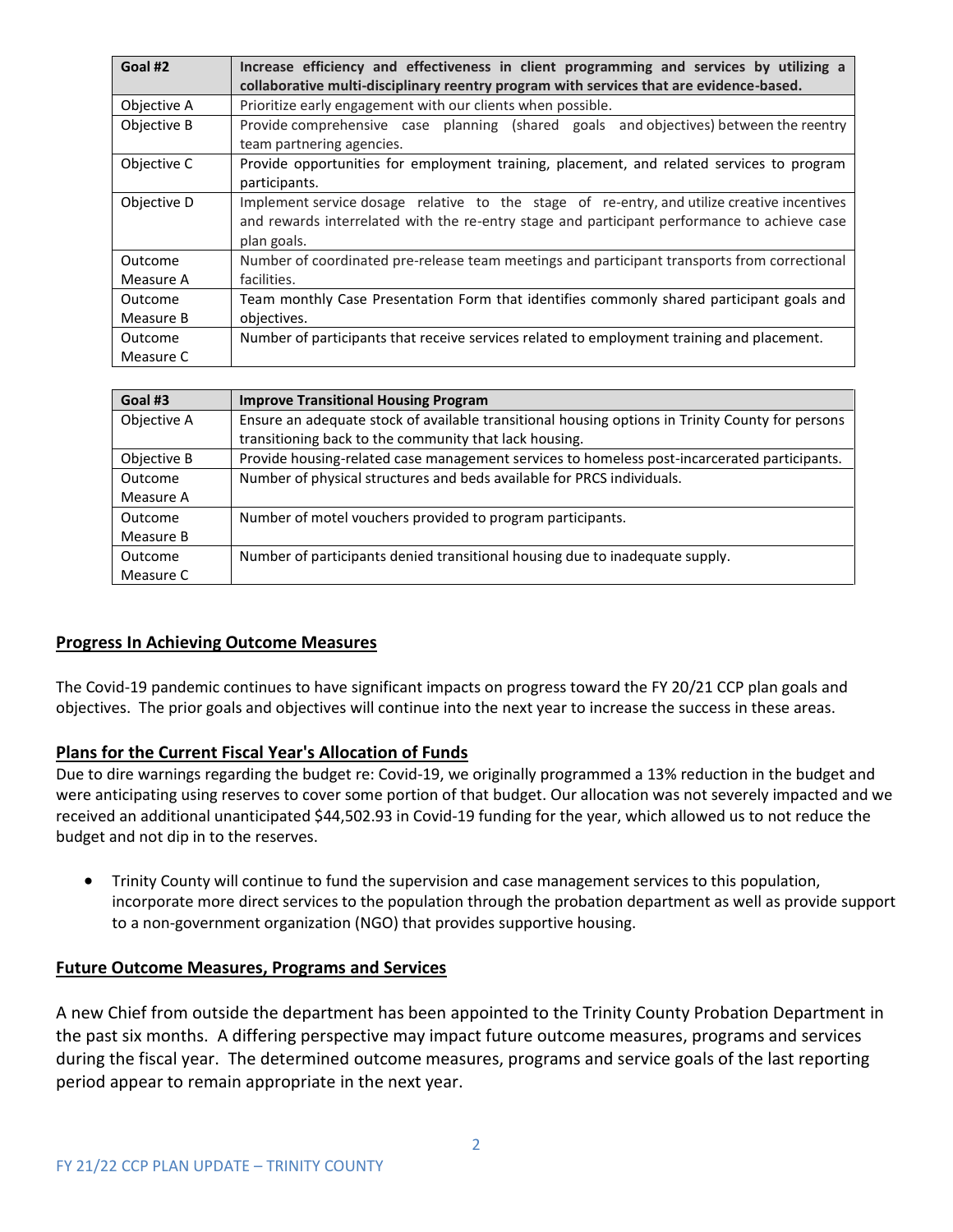| Goal #2     | Increase efficiency and effectiveness in client programming and services by utilizing a<br>collaborative multi-disciplinary reentry program with services that are evidence-based. |
|-------------|------------------------------------------------------------------------------------------------------------------------------------------------------------------------------------|
| Objective A | Prioritize early engagement with our clients when possible.                                                                                                                        |
| Objective B | Provide comprehensive case planning (shared goals and objectives) between the reentry                                                                                              |
|             | team partnering agencies.                                                                                                                                                          |
| Objective C | Provide opportunities for employment training, placement, and related services to program<br>participants.                                                                         |
| Objective D | Implement service dosage relative to the stage of re-entry, and utilize creative incentives                                                                                        |
|             | and rewards interrelated with the re-entry stage and participant performance to achieve case                                                                                       |
|             | plan goals.                                                                                                                                                                        |
| Outcome     | Number of coordinated pre-release team meetings and participant transports from correctional                                                                                       |
| Measure A   | facilities.                                                                                                                                                                        |
| Outcome     | Team monthly Case Presentation Form that identifies commonly shared participant goals and                                                                                          |
| Measure B   | objectives.                                                                                                                                                                        |
| Outcome     | Number of participants that receive services related to employment training and placement.                                                                                         |
| Measure C   |                                                                                                                                                                                    |

| Goal #3     | <b>Improve Transitional Housing Program</b>                                                      |
|-------------|--------------------------------------------------------------------------------------------------|
| Objective A | Ensure an adequate stock of available transitional housing options in Trinity County for persons |
|             | transitioning back to the community that lack housing.                                           |
| Objective B | Provide housing-related case management services to homeless post-incarcerated participants.     |
| Outcome     | Number of physical structures and beds available for PRCS individuals.                           |
| Measure A   |                                                                                                  |
| Outcome     | Number of motel vouchers provided to program participants.                                       |
| Measure B   |                                                                                                  |
| Outcome     | Number of participants denied transitional housing due to inadequate supply.                     |
| Measure C   |                                                                                                  |

## **Progress In Achieving Outcome Measures**

The Covid-19 pandemic continues to have significant impacts on progress toward the FY 20/21 CCP plan goals and objectives. The prior goals and objectives will continue into the next year to increase the success in these areas.

#### **Plans for the Current Fiscal Year's Allocation of Funds**

Due to dire warnings regarding the budget re: Covid-19, we originally programmed a 13% reduction in the budget and were anticipating using reserves to cover some portion of that budget. Our allocation was not severely impacted and we received an additional unanticipated \$44,502.93 in Covid-19 funding for the year, which allowed us to not reduce the budget and not dip in to the reserves.

• Trinity County will continue to fund the supervision and case management services to this population, incorporate more direct services to the population through the probation department as well as provide support to a non-government organization (NGO) that provides supportive housing.

#### **Future Outcome Measures, Programs and Services**

A new Chief from outside the department has been appointed to the Trinity County Probation Department in the past six months. A differing perspective may impact future outcome measures, programs and services during the fiscal year. The determined outcome measures, programs and service goals of the last reporting period appear to remain appropriate in the next year.